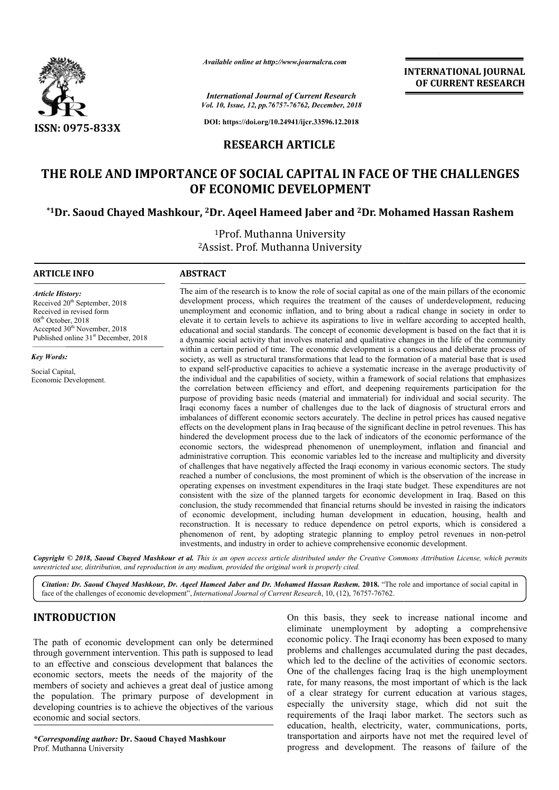

*Available online at http://www.journalcra.com*

*Vol. 10, Issue, 12, pp.76757-76762, December, 2018 International Journal of Current Research*

**DOI: https://doi.org/10.24941/ijcr.33596.12.2018**

## **RESEARCH ARTICLE**

# **THE ROLE AND IMPORTANCE OF SOCIAL CAPITAL IN FACE OF THE CHALLENGES OF ECONOMIC DEVELOPMENT** THE ROLE AND IMPORTANCE OF SOCIAL CAPITAL IN FACE OF THE CHALLENGES<br>OF ECONOMIC DEVELOPMENT<br><sup>\*1</sup>Dr. Saoud Chayed Mashkour, <sup>2</sup>Dr. Aqeel Hameed Jaber and <sup>2</sup>Dr. Mohamed Hassan Rashem\*

2 2Assist. Prof. Muthanna University 1Prof. Muthanna University

#### **ARTICLE INFO ABSTRACT**

Received 20<sup>th</sup> September, 2018 Received in revised form 08th October, 2018

Accepted 30<sup>th</sup> November, 2018 Published online 31<sup>st</sup> December, 2018

*Article History:*

*Key Words:* Social Capital, Economic Development.

The aim of the research is to know the role of social capital as one of the main pillars of the economic development process, which requires the treatment of the causes of underdevelopment, reducing unemployment and economic inflation, and to bring about a radical change in society in order to elevate it to certain levels to achieve its aspirations to live in welfare acc educational and social standards. The concept of economic development is based on the fact that it is a dynamic social activity that involves material and qualitative changes in the life of the community within a certain period of time. The economic development is a conscious and deliberate process of society, as well as structural transformations that lead to the formation of a material base that is used educational and social standards. The concept of economic development is based on the fact that it is<br>a dynamic social activity that involves material and qualitative changes in the life of the community<br>within a certain p the individual and the capabilities of society, within a framework of social relations that emphasizes the correlation between efficiency and effort, and deepening requirements participation for the purpose of providing basic needs (material and immaterial) for individual and social security. The Iraqi economy faces a number of challenges due to the lack of diagnosis of structural errors and imbalances of different economic sectors accurately. The decline in petrol prices has caused effects on the development plans in Iraq because of the significant decline in petrol revenues. This has hindered the development process due to the lack of indicators of the economic performance of the economic sectors, the widespread phenomenon of unemployment, inflation and financial and administrative corruption. This economic variables led to the increase and multiplicity and diversity of challenges that have negatively affected the Iraqi economy in various economic sectors. The study reached a number of conclusions, the most prominent of which is the observation of the increase in operating expenses on investment expenditures in the Iraqi state budget. These expenditures are not consistent with the size of the planned targets for economic development in Iraq. Based on this conclusion, the study recommended that financial returns should be invested in raising the indicators of economic development, including human development in education, housing, health and reconstruction. It is necessary to reduce dependence on petrol exports, which is considered a phenomenon of rent, by adopting strategic planning to employ petrol revenues in non investments, and industry in order to achieve comprehensive economic development. The aim of the research is to know the role of social capital as one of the main pillars of the economic development process, which requires the treatment of the causes of underdevelopment, reducing unemployment and econom the individual and the capabilities of society, within a framework of social relations that emphasizes the correlation between efficiency and effort, and deepening requirements participation for the purpose of providing ba effects on the development plans in Iraq because of the significant decline in petrol revenues. This has hindered the development process due to the lack of indicators of the economic performance of the economic sectors, t conclusion, the study recommended that financial returns should be invested in raising the indicators<br>of economic development, including human development in education, housing, health and<br>reconstruction. It is necessary t

Copyright © 2018, Saoud Chayed Mashkour et al. This is an open access article distributed under the Creative Commons Attribution License, which permits *unrestricted use, distribution, and reproduction in any medium, provided the original work is properly cited.*

Citation: Dr. Saoud Chayed Mashkour, Dr. Aqeel Hameed Jaber and Dr. Mohamed Hassan Rashem. 2018. "The role and importance of social capital in face of the challenges of economic development", *International Journal of Current Research*, 10, (12), 76757-76762.

# **INTRODUCTION**

The path of economic development can only be determined through government intervention. This path is supposed to lead to an effective and conscious development that balances the economic sectors, meets the needs of the majority of the members of society and achieves a great deal of justice among the population. The primary purpose of development in developing countries is to achieve the objectives of the various economic and social sectors.

*\*Corresponding author:* **Dr. Saoud Chayed Mashkour** Prof. Muthanna University

I On this basis, they seek to increase national income and<br>
eliminate unemployment by adopting a comprehensive<br>
incoment can only be determined<br>
tervention. This path is supposed to lead<br>
problems and challenges accumulate eliminate unemployment by adopting a comprehensive economic policy. The Iraqi economy has been exposed to many problems and challenges accumulated during the past decades, which led to the decline of the activities of economic sectors. One of the challenges facing Iraq is the high unemployment rate, for many reasons, the most important of which is the lack of a clear strategy for current education at various stages, especially the university stage, which did not suit the requirements of the Iraqi labor market. The sectors such as education, health, electricity, water, communications, ports, transportation and airports have not met the required level of progress and development. The reasons of failure of the basis, they seek to increase national income and<br>e unemployment by adopting a comprehensive<br>ic policy. The Iraqi economy has been exposed to many<br>s and challenges accumulated during the past decades,<br>ed to the decline of t

**INTERNATIONAL JOURNAL OF CURRENT RESEARCH**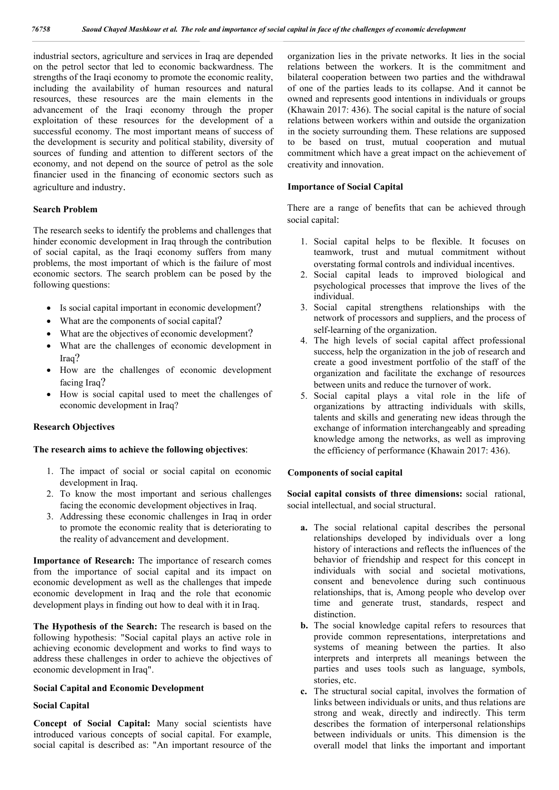industrial sectors, agriculture and services in Iraq are depended on the petrol sector that led to economic backwardness. The strengths of the Iraqi economy to promote the economic reality, including the availability of human resources and natural resources, these resources are the main elements in the advancement of the Iraqi economy through the proper exploitation of these resources for the development of a successful economy. The most important means of success of the development is security and political stability, diversity of sources of funding and attention to different sectors of the economy, and not depend on the source of petrol as the sole financier used in the financing of economic sectors such as agriculture and industry.

## **Search Problem**

The research seeks to identify the problems and challenges that hinder economic development in Iraq through the contribution of social capital, as the Iraqi economy suffers from many problems, the most important of which is the failure of most economic sectors. The search problem can be posed by the following questions:

- Is social capital important in economic development?
- What are the components of social capital?
- What are the objectives of economic development?
- What are the challenges of economic development in Iraq?
- How are the challenges of economic development facing Iraq?
- How is social capital used to meet the challenges of economic development in Iraq?

## **Research Objectives**

## **The research aims to achieve the following objectives**:

- 1. The impact of social or social capital on economic development in Iraq.
- 2. To know the most important and serious challenges facing the economic development objectives in Iraq.
- 3. Addressing these economic challenges in Iraq in order to promote the economic reality that is deteriorating to the reality of advancement and development.

**Importance of Research:** The importance of research comes from the importance of social capital and its impact on economic development as well as the challenges that impede economic development in Iraq and the role that economic development plays in finding out how to deal with it in Iraq.

**The Hypothesis of the Search:** The research is based on the following hypothesis: "Social capital plays an active role in achieving economic development and works to find ways to address these challenges in order to achieve the objectives of economic development in Iraq".

#### **Social Capital and Economic Development**

## **Social Capital**

**Concept of Social Capital:** Many social scientists have introduced various concepts of social capital. For example, social capital is described as: "An important resource of the organization lies in the private networks. It lies in the social relations between the workers. It is the commitment and bilateral cooperation between two parties and the withdrawal of one of the parties leads to its collapse. And it cannot be owned and represents good intentions in individuals or groups (Khawain 2017: 436). The social capital is the nature of social relations between workers within and outside the organization in the society surrounding them. These relations are supposed to be based on trust, mutual cooperation and mutual commitment which have a great impact on the achievement of creativity and innovation.

#### **Importance of Social Capital**

There are a range of benefits that can be achieved through social capital:

- 1. Social capital helps to be flexible. It focuses on teamwork, trust and mutual commitment without overstating formal controls and individual incentives.
- 2. Social capital leads to improved biological and psychological processes that improve the lives of the individual.
- 3. Social capital strengthens relationships with the network of processors and suppliers, and the process of self-learning of the organization.
- 4. The high levels of social capital affect professional success, help the organization in the job of research and create a good investment portfolio of the staff of the organization and facilitate the exchange of resources between units and reduce the turnover of work.
- 5. Social capital plays a vital role in the life of organizations by attracting individuals with skills, talents and skills and generating new ideas through the exchange of information interchangeably and spreading knowledge among the networks, as well as improving the efficiency of performance (Khawain 2017: 436).

#### **Components of social capital**

**Social capital consists of three dimensions:** social rational, social intellectual, and social structural.

- **a.** The social relational capital describes the personal relationships developed by individuals over a long history of interactions and reflects the influences of the behavior of friendship and respect for this concept in individuals with social and societal motivations, consent and benevolence during such continuous relationships, that is, Among people who develop over time and generate trust, standards, respect and distinction.
- **b.** The social knowledge capital refers to resources that provide common representations, interpretations and systems of meaning between the parties. It also interprets and interprets all meanings between the parties and uses tools such as language, symbols, stories, etc.
- **c.** The structural social capital, involves the formation of links between individuals or units, and thus relations are strong and weak, directly and indirectly. This term describes the formation of interpersonal relationships between individuals or units. This dimension is the overall model that links the important and important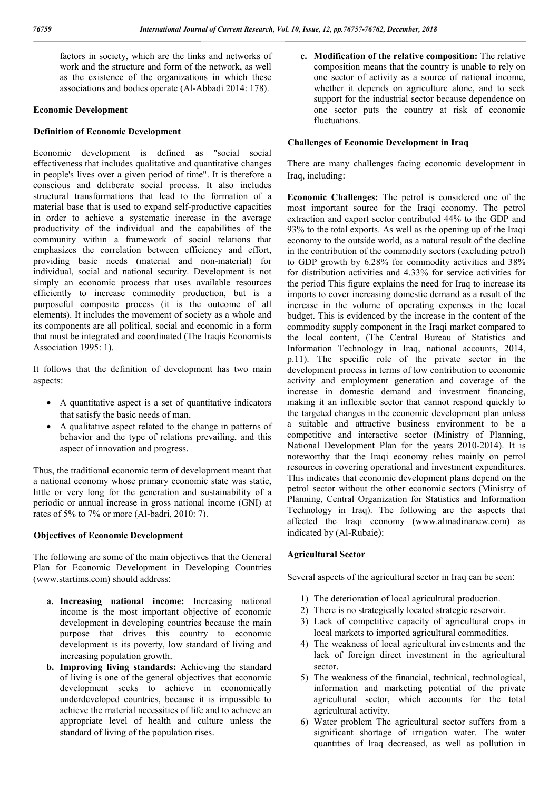factors in society, which are the links and networks of work and the structure and form of the network, as well as the existence of the organizations in which these associations and bodies operate (Al-Abbadi 2014: 178).

## **Economic Development**

## **Definition of Economic Development**

Economic development is defined as "social social effectiveness that includes qualitative and quantitative changes in people's lives over a given period of time". It is therefore a conscious and deliberate social process. It also includes structural transformations that lead to the formation of a material base that is used to expand self-productive capacities in order to achieve a systematic increase in the average productivity of the individual and the capabilities of the community within a framework of social relations that emphasizes the correlation between efficiency and effort, providing basic needs (material and non-material) for individual, social and national security. Development is not simply an economic process that uses available resources efficiently to increase commodity production, but is a purposeful composite process (it is the outcome of all elements). It includes the movement of society as a whole and its components are all political, social and economic in a form that must be integrated and coordinated (The Iraqis Economists Association 1995: 1).

It follows that the definition of development has two main aspects:

- A quantitative aspect is a set of quantitative indicators that satisfy the basic needs of man.
- A qualitative aspect related to the change in patterns of behavior and the type of relations prevailing, and this aspect of innovation and progress.

Thus, the traditional economic term of development meant that a national economy whose primary economic state was static, little or very long for the generation and sustainability of a periodic or annual increase in gross national income (GNI) at rates of 5% to 7% or more (Al-badri, 2010: 7).

## **Objectives of Economic Development**

The following are some of the main objectives that the General Plan for Economic Development in Developing Countries (www.startims.com) should address:

- **a. Increasing national income:** Increasing national income is the most important objective of economic development in developing countries because the main purpose that drives this country to economic development is its poverty, low standard of living and increasing population growth.
- **b. Improving living standards:** Achieving the standard of living is one of the general objectives that economic development seeks to achieve in economically underdeveloped countries, because it is impossible to achieve the material necessities of life and to achieve an appropriate level of health and culture unless the standard of living of the population rises.

**c. Modification of the relative composition:** The relative composition means that the country is unable to rely on one sector of activity as a source of national income, whether it depends on agriculture alone, and to seek support for the industrial sector because dependence on one sector puts the country at risk of economic fluctuations.

## **Challenges of Economic Development in Iraq**

There are many challenges facing economic development in Iraq, including:

**Economic Challenges:** The petrol is considered one of the most important source for the Iraqi economy. The petrol extraction and export sector contributed 44% to the GDP and 93% to the total exports. As well as the opening up of the Iraqi economy to the outside world, as a natural result of the decline in the contribution of the commodity sectors (excluding petrol) to GDP growth by 6.28% for commodity activities and 38% for distribution activities and 4.33% for service activities for the period This figure explains the need for Iraq to increase its imports to cover increasing domestic demand as a result of the increase in the volume of operating expenses in the local budget. This is evidenced by the increase in the content of the commodity supply component in the Iraqi market compared to the local content, (The Central Bureau of Statistics and Information Technology in Iraq, national accounts, 2014, p.11). The specific role of the private sector in the development process in terms of low contribution to economic activity and employment generation and coverage of the increase in domestic demand and investment financing, making it an inflexible sector that cannot respond quickly to the targeted changes in the economic development plan unless a suitable and attractive business environment to be a competitive and interactive sector (Ministry of Planning, National Development Plan for the years 2010-2014). It is noteworthy that the Iraqi economy relies mainly on petrol resources in covering operational and investment expenditures. This indicates that economic development plans depend on the petrol sector without the other economic sectors (Ministry of Planning, Central Organization for Statistics and Information Technology in Iraq). The following are the aspects that affected the Iraqi economy (www.almadinanew.com) as indicated by (Al-Rubaie):

## **Agricultural Sector**

Several aspects of the agricultural sector in Iraq can be seen:

- 1) The deterioration of local agricultural production.
- 2) There is no strategically located strategic reservoir.
- 3) Lack of competitive capacity of agricultural crops in local markets to imported agricultural commodities.
- 4) The weakness of local agricultural investments and the lack of foreign direct investment in the agricultural sector.
- 5) The weakness of the financial, technical, technological, information and marketing potential of the private agricultural sector, which accounts for the total agricultural activity.
- 6) Water problem The agricultural sector suffers from a significant shortage of irrigation water. The water quantities of Iraq decreased, as well as pollution in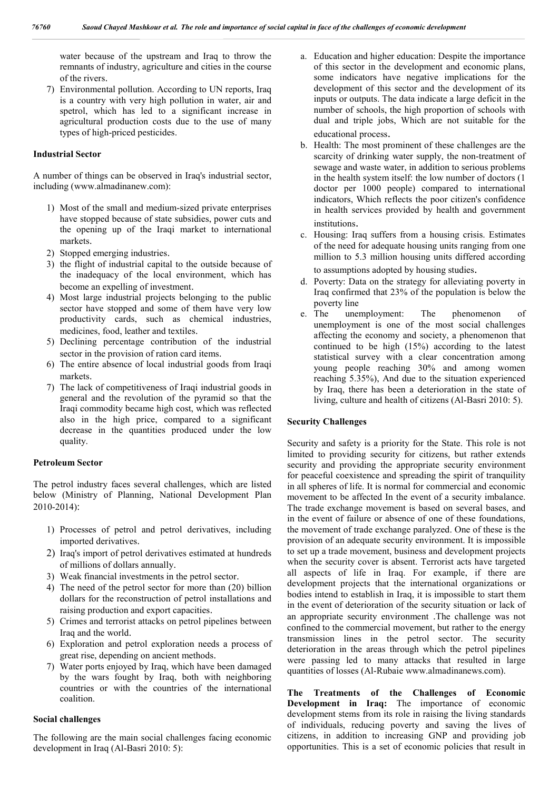water because of the upstream and Iraq to throw the remnants of industry, agriculture and cities in the course of the rivers.

7) Environmental pollution. According to UN reports, Iraq is a country with very high pollution in water, air and spetrol, which has led to a significant increase in agricultural production costs due to the use of many types of high-priced pesticides.

#### **Industrial Sector**

A number of things can be observed in Iraq's industrial sector, including (www.almadinanew.com):

- 1) Most of the small and medium-sized private enterprises have stopped because of state subsidies, power cuts and the opening up of the Iraqi market to international markets.
- 2) Stopped emerging industries.
- 3) the flight of industrial capital to the outside because of the inadequacy of the local environment, which has become an expelling of investment.
- 4) Most large industrial projects belonging to the public sector have stopped and some of them have very low productivity cards, such as chemical industries, medicines, food, leather and textiles.
- 5) Declining percentage contribution of the industrial sector in the provision of ration card items.
- 6) The entire absence of local industrial goods from Iraqi markets.
- 7) The lack of competitiveness of Iraqi industrial goods in general and the revolution of the pyramid so that the Iraqi commodity became high cost, which was reflected also in the high price, compared to a significant decrease in the quantities produced under the low quality.

#### **Petroleum Sector**

The petrol industry faces several challenges, which are listed below (Ministry of Planning, National Development Plan 2010-2014):

- 1) Processes of petrol and petrol derivatives, including imported derivatives.
- 2) Iraq's import of petrol derivatives estimated at hundreds of millions of dollars annually.
- 3) Weak financial investments in the petrol sector.
- 4) The need of the petrol sector for more than (20) billion dollars for the reconstruction of petrol installations and raising production and export capacities.
- 5) Crimes and terrorist attacks on petrol pipelines between Iraq and the world.
- 6) Exploration and petrol exploration needs a process of great rise, depending on ancient methods.
- 7) Water ports enjoyed by Iraq, which have been damaged by the wars fought by Iraq, both with neighboring countries or with the countries of the international coalition.

#### **Social challenges**

The following are the main social challenges facing economic development in Iraq (Al-Basri 2010: 5):

- a. Education and higher education: Despite the importance of this sector in the development and economic plans, some indicators have negative implications for the development of this sector and the development of its inputs or outputs. The data indicate a large deficit in the number of schools, the high proportion of schools with dual and triple jobs, Which are not suitable for the educational process.
- b. Health: The most prominent of these challenges are the scarcity of drinking water supply, the non-treatment of sewage and waste water, in addition to serious problems in the health system itself: the low number of doctors (1 doctor per 1000 people) compared to international indicators, Which reflects the poor citizen's confidence in health services provided by health and government institutions.
- c. Housing: Iraq suffers from a housing crisis. Estimates of the need for adequate housing units ranging from one million to 5.3 million housing units differed according to assumptions adopted by housing studies.
- d. Poverty: Data on the strategy for alleviating poverty in Iraq confirmed that 23% of the population is below the poverty line<br>e. The une
- unemployment: The phenomenon of unemployment is one of the most social challenges affecting the economy and society, a phenomenon that continued to be high (15%) according to the latest statistical survey with a clear concentration among young people reaching 30% and among women reaching 5.35%), And due to the situation experienced by Iraq, there has been a deterioration in the state of living, culture and health of citizens (Al-Basri 2010: 5).

## **Security Challenges**

Security and safety is a priority for the State. This role is not limited to providing security for citizens, but rather extends security and providing the appropriate security environment for peaceful coexistence and spreading the spirit of tranquility in all spheres of life. It is normal for commercial and economic movement to be affected In the event of a security imbalance. The trade exchange movement is based on several bases, and in the event of failure or absence of one of these foundations, the movement of trade exchange paralyzed. One of these is the provision of an adequate security environment. It is impossible to set up a trade movement, business and development projects when the security cover is absent. Terrorist acts have targeted all aspects of life in Iraq. For example, if there are development projects that the international organizations or bodies intend to establish in Iraq, it is impossible to start them in the event of deterioration of the security situation or lack of an appropriate security environment .The challenge was not confined to the commercial movement, but rather to the energy transmission lines in the petrol sector. The security deterioration in the areas through which the petrol pipelines were passing led to many attacks that resulted in large quantities of losses (Al-Rubaie www.almadinanews.com).

**The Treatments of the Challenges of Economic Development in Iraq:** The importance of economic development stems from its role in raising the living standards of individuals, reducing poverty and saving the lives of citizens, in addition to increasing GNP and providing job opportunities. This is a set of economic policies that result in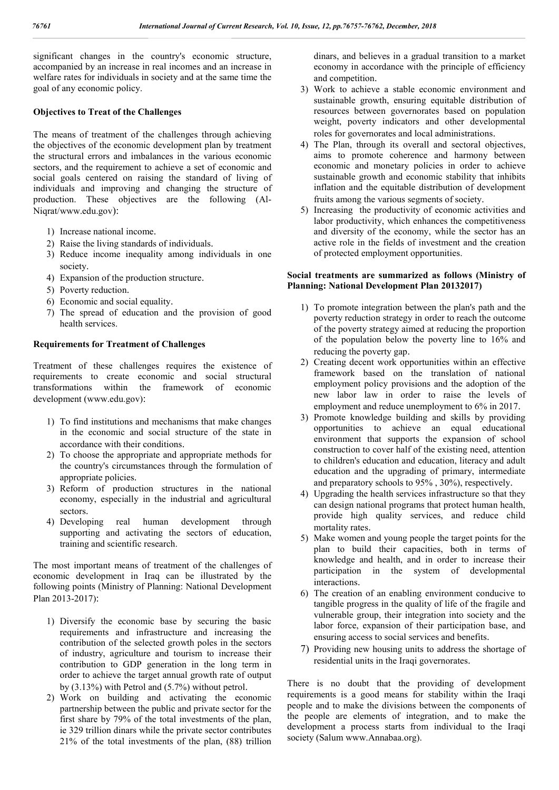significant changes in the country's economic structure, accompanied by an increase in real incomes and an increase in welfare rates for individuals in society and at the same time the goal of any economic policy.

## **Objectives to Treat of the Challenges**

The means of treatment of the challenges through achieving the objectives of the economic development plan by treatment the structural errors and imbalances in the various economic sectors, and the requirement to achieve a set of economic and social goals centered on raising the standard of living of individuals and improving and changing the structure of production. These objectives are the following (Al-Niqrat/www.edu.gov):

- 1) Increase national income.
- 2) Raise the living standards of individuals.
- 3) Reduce income inequality among individuals in one society.
- 4) Expansion of the production structure.
- 5) Poverty reduction.
- 6) Economic and social equality.
- 7) The spread of education and the provision of good health services.

## **Requirements for Treatment of Challenges**

Treatment of these challenges requires the existence of requirements to create economic and social structural transformations within the framework of economic development (www.edu.gov):

- 1) To find institutions and mechanisms that make changes in the economic and social structure of the state in accordance with their conditions.
- 2) To choose the appropriate and appropriate methods for the country's circumstances through the formulation of appropriate policies.
- 3) Reform of production structures in the national economy, especially in the industrial and agricultural sectors.
- 4) Developing real human development through supporting and activating the sectors of education, training and scientific research.

The most important means of treatment of the challenges of economic development in Iraq can be illustrated by the following points (Ministry of Planning: National Development Plan 2013-2017):

- 1) Diversify the economic base by securing the basic requirements and infrastructure and increasing the contribution of the selected growth poles in the sectors of industry, agriculture and tourism to increase their contribution to GDP generation in the long term in order to achieve the target annual growth rate of output by (3.13%) with Petrol and (5.7%) without petrol.
- 2) Work on building and activating the economic partnership between the public and private sector for the first share by 79% of the total investments of the plan, ie 329 trillion dinars while the private sector contributes 21% of the total investments of the plan, (88) trillion

dinars, and believes in a gradual transition to a market economy in accordance with the principle of efficiency and competition.

- 3) Work to achieve a stable economic environment and sustainable growth, ensuring equitable distribution of resources between governorates based on population weight, poverty indicators and other developmental roles for governorates and local administrations.
- 4) The Plan, through its overall and sectoral objectives, aims to promote coherence and harmony between economic and monetary policies in order to achieve sustainable growth and economic stability that inhibits inflation and the equitable distribution of development fruits among the various segments of society.
- 5) Increasing the productivity of economic activities and labor productivity, which enhances the competitiveness and diversity of the economy, while the sector has an active role in the fields of investment and the creation of protected employment opportunities.

### **Social treatments are summarized as follows (Ministry of Planning: National Development Plan 20132017)**

- 1) To promote integration between the plan's path and the poverty reduction strategy in order to reach the outcome of the poverty strategy aimed at reducing the proportion of the population below the poverty line to 16% and reducing the poverty gap.
- 2) Creating decent work opportunities within an effective framework based on the translation of national employment policy provisions and the adoption of the new labor law in order to raise the levels of employment and reduce unemployment to 6% in 2017.
- 3) Promote knowledge building and skills by providing opportunities to achieve an equal educational environment that supports the expansion of school construction to cover half of the existing need, attention to children's education and education, literacy and adult education and the upgrading of primary, intermediate and preparatory schools to 95% , 30%), respectively.
- 4) Upgrading the health services infrastructure so that they can design national programs that protect human health, provide high quality services, and reduce child mortality rates.
- 5) Make women and young people the target points for the plan to build their capacities, both in terms of knowledge and health, and in order to increase their participation in the system of developmental interactions.
- 6) The creation of an enabling environment conducive to tangible progress in the quality of life of the fragile and vulnerable group, their integration into society and the labor force, expansion of their participation base, and ensuring access to social services and benefits.
- 7) Providing new housing units to address the shortage of residential units in the Iraqi governorates.

There is no doubt that the providing of development requirements is a good means for stability within the Iraqi people and to make the divisions between the components of the people are elements of integration, and to make the development a process starts from individual to the Iraqi society (Salum www.Annabaa.org).